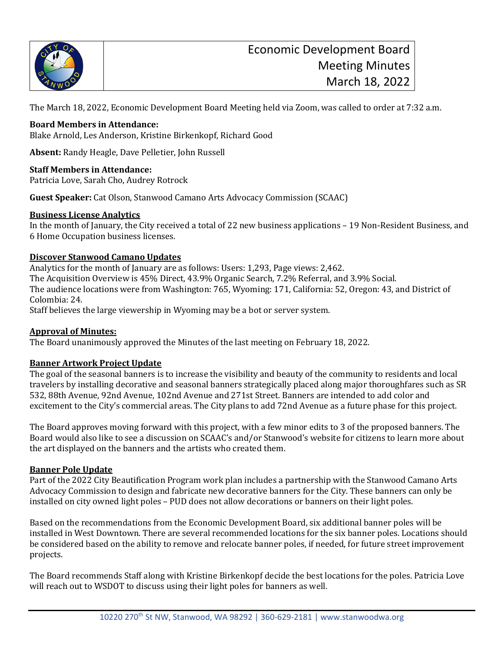

The March 18, 2022, Economic Development Board Meeting held via Zoom, was called to order at 7:32 a.m.

### **Board Members in Attendance:**

Blake Arnold, Les Anderson, Kristine Birkenkopf, Richard Good

**Absent:** Randy Heagle, Dave Pelletier, John Russell

### **Staff Members in Attendance:**

Patricia Love, Sarah Cho, Audrey Rotrock

**Guest Speaker:** Cat Olson, Stanwood Camano Arts Advocacy Commission (SCAAC)

### **Business License Analytics**

In the month of January, the City received a total of 22 new business applications – 19 Non-Resident Business, and 6 Home Occupation business licenses.

### **Discover Stanwood Camano Updates**

Analytics for the month of January are as follows: Users: 1,293, Page views: 2,462. The Acquisition Overview is 45% Direct, 43.9% Organic Search, 7.2% Referral, and 3.9% Social. The audience locations were from Washington: 765, Wyoming: 171, California: 52, Oregon: 43, and District of Colombia: 24.

Staff believes the large viewership in Wyoming may be a bot or server system.

### **Approval of Minutes:**

The Board unanimously approved the Minutes of the last meeting on February 18, 2022.

### **Banner Artwork Project Update**

The goal of the seasonal banners is to increase the visibility and beauty of the community to residents and local travelers by installing decorative and seasonal banners strategically placed along major thoroughfares such as SR 532, 88th Avenue, 92nd Avenue, 102nd Avenue and 271st Street. Banners are intended to add color and excitement to the City's commercial areas. The City plans to add 72nd Avenue as a future phase for this project.

The Board approves moving forward with this project, with a few minor edits to 3 of the proposed banners. The Board would also like to see a discussion on SCAAC's and/or Stanwood's website for citizens to learn more about the art displayed on the banners and the artists who created them.

### **Banner Pole Update**

Part of the 2022 City Beautification Program work plan includes a partnership with the Stanwood Camano Arts Advocacy Commission to design and fabricate new decorative banners for the City. These banners can only be installed on city owned light poles – PUD does not allow decorations or banners on their light poles.

Based on the recommendations from the Economic Development Board, six additional banner poles will be installed in West Downtown. There are several recommended locations for the six banner poles. Locations should be considered based on the ability to remove and relocate banner poles, if needed, for future street improvement projects.

The Board recommends Staff along with Kristine Birkenkopf decide the best locations for the poles. Patricia Love will reach out to WSDOT to discuss using their light poles for banners as well.